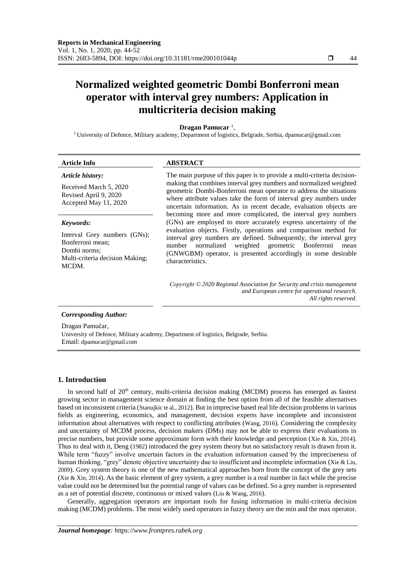# **Normalized weighted geometric Dombi Bonferroni mean operator with interval grey numbers: Application in multicriteria decision making**

# **Dragan Pamucar**<sup>1</sup>,

<sup>1</sup> University of Defence, Military academy, Department of logistics, Belgrade, Serbia, dpamucar@gmail.com

| <b>Article Info</b>                                                                                                       | <b>ABSTRACT</b>                                                                                                                                                                                                                                                                                                                                                                                                                                                                                                                                                                                                                                                                                                                                                                                        |
|---------------------------------------------------------------------------------------------------------------------------|--------------------------------------------------------------------------------------------------------------------------------------------------------------------------------------------------------------------------------------------------------------------------------------------------------------------------------------------------------------------------------------------------------------------------------------------------------------------------------------------------------------------------------------------------------------------------------------------------------------------------------------------------------------------------------------------------------------------------------------------------------------------------------------------------------|
| Article history:<br>Received March 5, 2020<br>Revised April 9, 2020<br>Accepted May 11, 2020                              | The main purpose of this paper is to provide a multi-criteria decision-<br>making that combines interval grey numbers and normalized weighted<br>geometric Dombi-Bonferroni mean operator to address the situations<br>where attribute values take the form of interval grey numbers under<br>uncertain information. As in recent decade, evaluation objects are<br>becoming more and more complicated, the interval grey numbers<br>(GNs) are employed to more accurately express uncertainty of the<br>evaluation objects. Firstly, operations and comparison method for<br>interval grey numbers are defined. Subsequently, the interval grey<br>weighted geometric Bonferroni<br>normalized<br>number<br>mean<br>(GNWGBM) operator, is presented accordingly in some desirable<br>characteristics. |
| Keywords:<br>Interval Grey numbers (GNs);<br>Bonferroni mean:<br>Dombi norms:<br>Multi-criteria decision Making;<br>MCDM. |                                                                                                                                                                                                                                                                                                                                                                                                                                                                                                                                                                                                                                                                                                                                                                                                        |

*Copyright © 2020 Regional Association for Security and crisis management and European centre for operational research. All rights reserved.*

#### *Corresponding Author:*

Dragan Pamučar, University of Defence, Military academy, Department of logistics, Belgrade, Serbia. Email: dpamucar@gmail.com

### **1. Introduction**

In second half of  $20<sup>th</sup>$  century, multi-criteria decision making (MCDM) process has emerged as fastest growing sector in management science domain at finding the best option from all of the feasible alternatives based on inconsistent criteria (Stanujkic te al., 2012). But in imprecise based real life decision problems in various fields as engineering, economics, and management, decision experts have incomplete and inconsistent information about alternatives with respect to conflicting attributes (Wang, 2016). Considering the complexity and uncertainty of MCDM process, decision makers (DMs) may not be able to express their evaluations in precise numbers, but provide some approximate form with their knowledge and perception (Xie & Xin, 2014). Thus to deal with it, Deng (1982) introduced the grey system theory but no satisfactory result is drawn from it. While term "fuzzy" involve uncertain factors in the evaluation information caused by the impreciseness of human thinking, "grey" denote objective uncertainty due to insufficient and incomplete information (Xie & Liu, 2009). Grey system theory is one of the new mathematical approaches born from the concept of the grey sets (Xie & Xin, 2014). As the basic element of grey system, a grey number is a real number in fact while the precise value could not be determined but the potential range of values can be defined. So a grey number is represented as a set of potential discrete, continuous or mixed values (Liu & Wang, 2016).

Generally, aggregation operators are important tools for fusing information in multi-criteria decision making (MCDM) problems. The most widely used operators in fuzzy theory are the min and the max operator.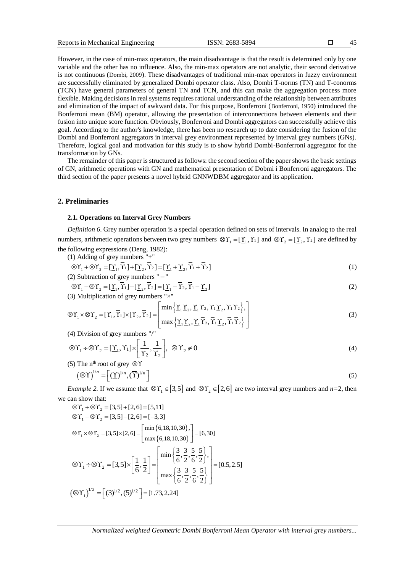45

However, in the case of min-max operators, the main disadvantage is that the result is determined only by one variable and the other has no influence. Also, the min-max operators are not analytic, their second derivative is not continuous (Dombi, 2009). These disadvantages of traditional min-max operators in fuzzy environment are successfully eliminated by generalized Dombi operator class. Also, Dombi T-norms (TN) and T-conorms (TCN) have general parameters of general TN and TCN, and this can make the aggregation process more flexible. Making decisions in real systems requires rational understanding of the relationship between attributes and elimination of the impact of awkward data. For this purpose, Bonferroni (Bonferroni, 1950) introduced the Bonferroni mean (BM) operator, allowing the presentation of interconnections between elements and their fusion into unique score function. Obviously, Bonferroni and Dombi aggregators can successfully achieve this goal. According to the author's knowledge, there has been no research up to date considering the fusion of the Dombi and Bonferroni aggregators in interval grey environment represented by interval grey numbers (GNs). Therefore, logical goal and motivation for this study is to show hybrid Dombi-Bonferroni aggregator for the transformation by GNs.

The remainder of this paper is structured as follows: the second section of the paper shows the basic settings of GN, arithmetic operations with GN and mathematical presentation of Dobmi i Bonferroni aggregators. The third section of the paper presents a novel hybrid GNNWDBM aggregator and its application.

## **2. Preliminaries**

#### **2.1. Operations on Interval Grey Numbers**

*Definition 6*. Grey number operation is a special operation defined on sets of intervals. In analog to the real numbers, arithmetic operations between two grey numbers  $\mathcal{D}\Upsilon_1 = [\underline{\Upsilon}_1, \Upsilon_1]$  and  $\mathcal{D}\Upsilon_2 = [\underline{\Upsilon}_2, \Upsilon_2]$  are defined by the following expressions (Deng, 1982):

(1) Adding of grey numbers "
$$
+
$$
"  
\n
$$
\otimes \Upsilon_1 + \otimes \Upsilon_2 = [\underline{\Upsilon}_1, \overline{\Upsilon}_1] + [\underline{\Upsilon}_2, \overline{\Upsilon}_2] = [\underline{\Upsilon}_1 + \underline{\Upsilon}_2, \overline{\Upsilon}_1 + \overline{\Upsilon}_2]
$$
\n(1)

(2) Subtraction of grey numbers " - "  
\n
$$
\otimes \Upsilon_1 - \otimes \Upsilon_2 = [\underline{\Upsilon}_1, \overline{\Upsilon}_1] - [\underline{\Upsilon}_2, \overline{\Upsilon}_2] = [\underline{\Upsilon}_1 - \overline{\Upsilon}_2, \overline{\Upsilon}_1 - \underline{\Upsilon}_2]
$$
\n(2)

(2)  
\n(3) Multiplication of grey numbers "
$$
\times
$$
"  
\n
$$
\otimes \Upsilon_1 \times \otimes \Upsilon_2 = [\underline{\Upsilon}_1, \overline{\Upsilon}_1] \times [\underline{\Upsilon}_2, \overline{\Upsilon}_2] = \begin{bmatrix} \min \{ \underline{\Upsilon}_1 \underline{\Upsilon}_2, \underline{\Upsilon}_1 \overline{\Upsilon}_2, \overline{\Upsilon}_1 \underline{\Upsilon}_2, \overline{\Upsilon}_1 \overline{\Upsilon}_2 \}, \\ \max \{ \underline{\Upsilon}_1 \underline{\Upsilon}_2, \underline{\Upsilon}_1 \overline{\Upsilon}_2, \overline{\Upsilon}_1 \underline{\Upsilon}_2, \overline{\Upsilon}_1 \overline{\Upsilon}_2 \} \end{bmatrix}
$$
\n(3)

(4) Division of grey numbers "
$$
^{\prime\prime}
$$
  
\n
$$
\otimes \Upsilon_1 \div \otimes \Upsilon_2 = [\underline{\Upsilon}_1, \overline{\Upsilon}_1] \times \left[\frac{1}{\overline{\Upsilon}_2}, \frac{1}{\underline{\Upsilon}_2}\right], \otimes \Upsilon_2 \notin 0
$$
\n(4)

(5) The n<sup>th</sup> root of grey 
$$
\otimes \Upsilon
$$
  
\n
$$
(\otimes \Upsilon)^{1/n} = \left[ (\underline{\Upsilon})^{1/n}, (\overline{\Upsilon})^{1/n} \right]
$$
\n(5)

*Example 2.* If we assume that  $\mathcal{D}Y_1 \in [3,5]$  and  $\mathcal{D}Y_2 \in [2,6]$  are two interval grey numbers and *n*=2, then we can show that:

an snow that:  
\n
$$
\begin{aligned}\n\otimes Y_1 + \otimes Y_2 &= [3, 5] + [2, 6] = [5, 11] \\
\otimes Y_1 - \otimes Y_2 &= [3, 5] - [2, 6] = [-3, 3] \\
\otimes Y_1 \times \otimes Y_2 &= [3, 5] \times [2, 6] = \left[ \frac{\min\{6, 18, 10, 30\}}{\max\{6, 18, 10, 30\}} \right] = [6, 30] \\
\otimes Y_1 \div \otimes Y_2 &= [3, 5] \times \left[ \frac{1}{6}, \frac{1}{2} \right] = \left[ \frac{\min\{ \frac{3}{6}, \frac{3}{2}, \frac{5}{6}, \frac{5}{2} \}}{\max\{ \frac{3}{6}, \frac{3}{2}, \frac{5}{6}, \frac{5}{2} \}} \right] = [0.5, 2.5]\n\end{aligned}
$$
\n
$$
(\otimes Y_1)^{1/2} = [(3)^{1/2}, (5)^{1/2}] = [1.73, 2.24]
$$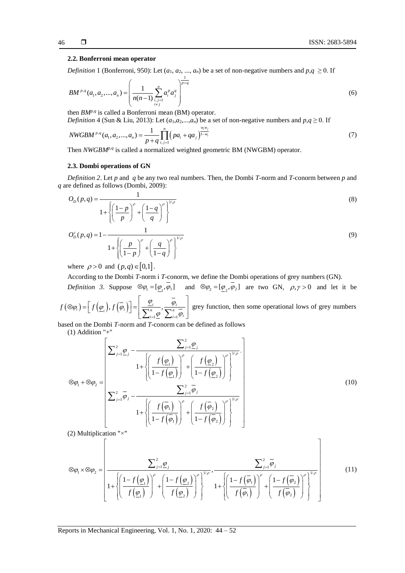#### **2.2. Bonferroni mean operator**

*Definition* 1 (Bonferroni, 950): Let 
$$
(a_1, a_2, ..., a_n)
$$
 be a set of non-negative numbers and  $p, q \ge 0$ . If  
\n
$$
BM^{p,q}(a_1, a_2, ..., a_n) = \left(\frac{1}{n(n-1)} \sum_{\substack{i,j=1 \ i \neq j}}^n a_i^p a_j^q\right)^{\frac{1}{p+q}}
$$
\n(6)

then *BM<sup>p</sup>*,*<sup>q</sup>* is called a Bonferroni mean (BM) operator.

*Definition* 4 (Sun & Liu, 2013): Let 
$$
(a_1, a_2,..., a_n)
$$
 be a set of non-negative numbers and  $p,q \ge 0$ . If  
\n
$$
NWGBM^{p,q}(a_1, a_2,..., a_n) = \frac{1}{p+q} \prod_{i,j=1}^n (pa_i + qa_j)^{\frac{w_i w_j}{1-w_i}}
$$
\n(7)

Then *NWGBMp,q* is called a normalized weighted geometric BM (NWGBM) operator.

#### **2.3. Dombi operations of GN**

*Definition 2*. Let *p* and *q* be any two real numbers. Then, the Dombi *T*-norm and *T*-conorm between *p* and *q* are defined as follows (Dombi, 2009):

$$
O_D(p,q) = \frac{1}{1 + \left\{ \left( \frac{1-p}{p} \right)^{\rho} + \left( \frac{1-q}{q} \right)^{\rho} \right\}^{1/\rho}}
$$
\n
$$
O_D^c(p,q) = 1 - \frac{1}{\left( \left( \frac{1-p}{p} \right)^{\rho} + \left( \frac{1-q}{q} \right)^{\rho} \right)^{1/\rho}}
$$
\n(9)

$$
O_p^c(p,q) = 1 - \frac{1}{1 + \left\{ \left( \frac{p}{1-p} \right)^{\rho} + \left( \frac{q}{1-q} \right)^{\rho} \right\}^{1/\rho}}
$$
\n
$$
(9)
$$

where  $\rho > 0$  and  $(p,q) \in [0,1]$ .

According to the Dombi *T*-norm i *T*-conorm, we define the Dombi operations of grey numbers (GN).

*Definition 3*. Suppose  $\otimes \varphi_1 = [\varphi_1, \varphi_1]$  and  $\otimes \varphi_2 = [\varphi_2, \varphi_2]$  are two GN,  $\rho, \gamma > 0$  and let it be

$$
f\left(\otimes\varphi_{i}\right) = \left[f\left(\underline{\varphi}_{i}\right), f\left(\overline{\varphi}_{i}\right)\right] = \left[\frac{\underline{\varphi}_{i}}{\sum_{i=1}^{n} \underline{\varphi}_{i}}, \frac{\overline{\varphi}_{i}}{\sum_{i=1}^{n} \overline{\varphi}_{i}}\right]
$$
 grey function, then some operational laws of grey numbers

(1) Addition "+"

based on the Dombi *T*-norm and *T*-conorm can be defined as follows  
\n(1) Addition "
$$
+
$$
"  
\n
$$
\otimes \varphi_1 + \otimes \varphi_2 = \begin{bmatrix}\n\sum_{j=1}^2 \varphi_j - \frac{\sum_{j=1}^2 \varphi_j}{1 + \left\{\left(\frac{f(\varphi_1)}{1 - f(\varphi_1)}\right)^\rho + \left(\frac{f(\varphi_2)}{1 - f(\varphi_2)}\right)^\rho\right\}^{1/\rho}} \\
\sum_{j=1}^2 \varphi_j - \frac{\sum_{j=1}^2 \varphi_j}{1 + \left\{\left(\frac{f(\varphi_1)}{1 - f(\varphi_1)}\right)^\rho + \left(\frac{f(\varphi_2)}{1 - f(\varphi_2)}\right)^\rho\right\}^{1/\rho}} \\
\vdots\n\end{bmatrix}
$$
\n(10)  
\n(2) Multiplication " $\times$ "

(2) Multiplication "×"

(2) Multiplication "
$$
\times
$$
"  
\n
$$
\otimes \varphi_1 \times \otimes \varphi_2 = \left[ \frac{\sum_{j=1}^2 \varphi_j}{1 + \left\{ \left( \frac{1 - f(\varphi_1)}{f(\varphi_1)} \right)^\rho + \left( \frac{1 - f(\varphi_2)}{f(\varphi_2)} \right)^\rho \right\}^{\frac{1}{\rho}}}, \frac{\sum_{j=1}^2 \overline{\varphi}_j}{1 + \left\{ \left( \frac{1 - f(\overline{\varphi}_1)}{f(\overline{\varphi}_1)} \right)^\rho + \left( \frac{1 - f(\overline{\varphi}_2)}{f(\overline{\varphi}_1)} \right)^\rho \right\}^{\frac{1}{\rho}} \right] (11)
$$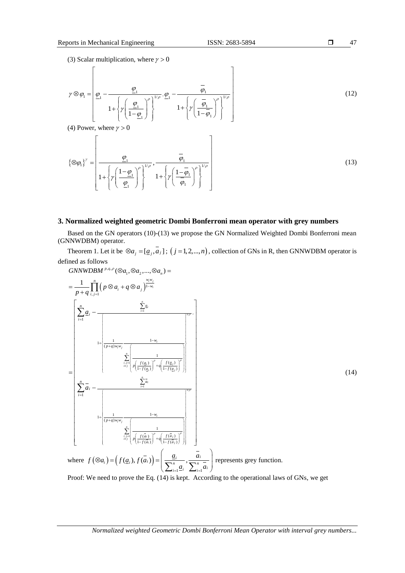$$
\Box \qquad 47
$$

(3) Scalar multiplication, where 
$$
\gamma > 0
$$
  
\n
$$
\gamma \otimes \varphi_1 = \left[ \underbrace{\varphi_1 - \frac{\varphi_1}{1 + \left\{ \gamma \left( \frac{\varphi_1}{1 - \varphi_1} \right)^{\rho} \right\}^{\frac{1}{\rho}} \cdot \varphi_1 - \frac{\overline{\varphi_1}}{1 + \left\{ \gamma \left( \frac{\overline{\varphi_1}}{1 - \overline{\varphi_1}} \right)^{\rho} \right\}^{\frac{1}{\rho}}}}_{1 + \left\{ \gamma \left( \frac{\overline{\varphi_1}}{1 - \overline{\varphi_1}} \right)^{\rho} \right\}^{\frac{1}{\rho}} \right]
$$
\n(4) Power, where  $\gamma > 0$   
\n
$$
\left\{ \otimes \varphi_1 \right\}^{\gamma} = \left[ \frac{\underline{\varphi_1}}{1 + \left\{ \gamma \left( \frac{1 - \underline{\varphi_1}}{ \underline{\varphi_1}} \right)^{\rho} \right\}^{\frac{1}{\rho}} \cdot \frac{\overline{\varphi_1}}{1 + \left\{ \gamma \left( \frac{1 - \overline{\varphi_1}}{ \overline{\varphi_1}} \right)^{\rho} \right\}^{\frac{1}{\rho}} \right]}
$$
\n(13)

# **3. Normalized weighted geometric Dombi Bonferroni mean operator with grey numbers**

Based on the GN operators (10)-(13) we propose the GN Normalized Weighted Dombi Bonferroni mean (GNNWDBM) operator.

Theorem 1. Let it be  $\otimes a_j = [a_j, a_j]$ ;  $(j = 1, 2, ..., n)$ , collection of GNs in R, then GNNWDBM operator is defined as follows

Hence as follows  
\n*GNNWDBM p*<sub>4</sub>,*p* (⊗*a*<sub>1</sub>, ∘*a*<sub>2</sub>, …, ⊗*a*<sub>n</sub>) =  
\n
$$
= \frac{1}{p+q} \prod_{i,j=1}^{n} \left( p \otimes a_i + q \otimes a_j \right)^{\frac{w_i w_j}{1-w_i}}
$$
\n
$$
\sum_{i=1}^{n} \frac{a_i}{a_i} = \frac{\sum_{i=1}^{n} a_i}{\prod_{\substack{(p+q)w_i w_j \\ \text{if } p \text{ is odd, } p \text{ is odd, } p \text{ is odd, } p \text{ is odd, } p \text{ is even, } p \text{ is odd, } p \text{ is even, } p \text{ is even, } p \text{ is even, } p \text{ is even, } p \text{ is even, } p \text{ is even, } p \text{ is even, } p \text{ is even, } p \text{ is even, } p \text{ is even, } p \text{ is even, } p \text{ is even, } p \text{ is even, } p \text{ is even, } p \text{ is even, } p \text{ is even, } p \text{ is even, } p \text{ is even, } p \text{ is even, } p \text{ is even, } p \text{ is even, } p \text{ is even, } p \text{ is even, } p \text{ is even, } p \text{ is even, } p \text{ is even, } p \text{ is even, } p \text{ is even, } p \text{ is even, } p \text{ is even, } p \text{ is even, } p \text{ is even, } p \text{ is even, } p \text{ is even, } p \text{ is even, } p \text{ is even, } p \text{ is even, } p \text{ is even, } p \text{ is even, } p \text{ is even, } p \text{ is even, } p \text{ is even, } p \text{ is even, } p \text{ is even, } p \text{ is even, } p \text{ is even, } p \text{ is even, } p \text{ is even, } p \text{ is even, } p \text{ is even, } p \text{ is even, } p \text{ is even, } p \text{ is even, } p \text{ is even, } p \text{ is even, } p \text{ is even, } p \text{ is even, } p \text{ is even, } p \text{ is even, } p \text{ is even, } p \text{ is even, } p \text{ is even, } p \text{ is even, } p \text{ is even,
$$

Proof: We need to prove the Eq. (14) is kept. According to the operational laws of GNs, we get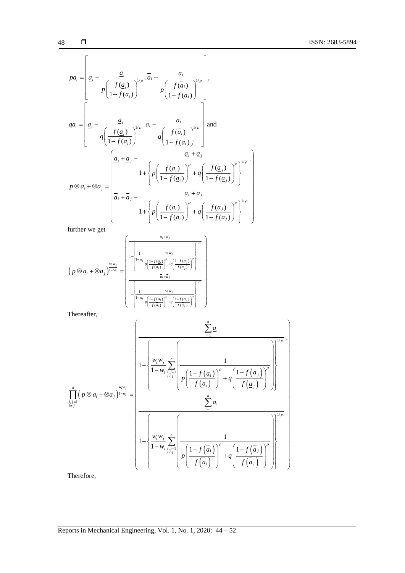$$
pa_{i} = \left[ \underbrace{a_{i} - \frac{a_{i}}{p\left(\frac{f(a_{i})}{1 - f(a_{i})}\right)^{1/p}}, \overline{a}_{i} - \frac{\overline{a}_{i}}{p\left(\frac{f(\overline{a}_{i})}{1 - f(\overline{a}_{i})}\right)^{1/p}} \right],
$$
\n
$$
qa_{i} = \left[ \underbrace{a_{i} - \frac{a_{i}}{q\left(\frac{f(a_{i})}{1 - f(a_{i})}\right)^{1/p}}, \overline{a}_{i} - \frac{\overline{a}_{i}}{q\left(\frac{f(\overline{a}_{i})}{1 - f(\overline{a}_{i})}\right)^{1/p}} \right]
$$
\nand\n
$$
\left[ \underbrace{a_{i} + a_{j} - \frac{a_{i} + a_{j}}{1 + \left\{p\left(\frac{f(a_{i})}{1 - f(a_{i})}\right)^{p} + q\left(\frac{f(a_{j})}{1 - f(a_{j})}\right)^{p}\right\}^{1/p}}_{p \otimes a_{i} + \otimes a_{j} = \left[ \overline{a_{i} + a_{j}} - \frac{\overline{a}_{i} + \overline{a}_{j}}{1 + \left\{p\left(\frac{f(\overline{a}_{i})}{1 - f(\overline{a}_{i})}\right)^{p} + q\left(\frac{f(\overline{a}_{j})}{1 - f(\overline{a}_{j})}\right)^{p}\right\}^{1/p} \right]
$$
\nfurther we get

further we get

further we get  
\n
$$
\left(p \otimes a_i + \otimes a_j\right)^{\frac{w_i w_j}{1 - w_i}} = \begin{bmatrix} \frac{a_i + a_j}{1 + \left|\frac{1}{1 - w_i}\frac{w_i w_j}{p\left(\frac{1 - f(a_i)}{f(a_i)}\right)^p + q\left(\frac{1 - f(a_j)}{f(a_j)}\right)^p\right|}} \\ \frac{1}{1 + \left|\frac{1}{1 - w_i}\frac{w_i w_j}{p\left(\frac{1 - f(\overline{a}_i)}{f(\overline{a}_i)}\right)^p + q\left(\frac{1 - f(\overline{a}_j)}{f(\overline{a}_j)}\right)^p\right|}} \end{bmatrix}
$$

Thereafter,

Thereafter,

\n
$$
\left[\frac{\sum_{p \mid \frac{f(z)}{f(a_i)}}^{p \mid \frac{f(z)}{f(a_i)}} + q \left(\frac{\sum_{i=1}^{n} a_i}{f(a_i)}\right) \mid \right]}{1 + \left\{\frac{w_i w_j}{1 - w_i} \sum_{\substack{i,j=1 \\ i \neq j}}^{n} \left(\frac{1}{p \left(\frac{1 - f(a_i)}{f(a_i)}\right)^{\rho} + q \left(\frac{1 - f(a_j)}{f(a_j)}\right)^{\rho}\right\}}\right\}^{1/\rho}}
$$
\n
$$
\left[\frac{\prod_{\substack{i,j=1 \\ i \neq j}}^{n} \left(p \otimes a_i + \otimes a_j\right)^{\frac{w_i w_j}{1 - w_j}}}{1 + \left\{\frac{w_i w_j}{1 - w_i} \sum_{\substack{i,j=1 \\ i \neq j}}^{n} \left(\frac{1}{p \left(\frac{1 - f(a_i)}{f(a_i)}\right)^{\rho} + q \left(\frac{1 - f(a_j)}{f(a_j)}\right)^{\rho}\right)}\right\}^{1/\rho}}
$$
\nThe form (n)

Therefore,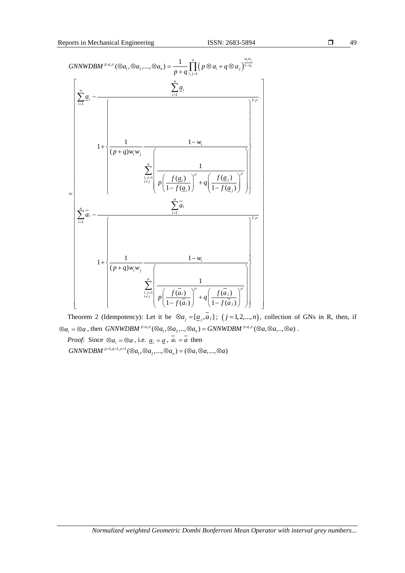

Theorem 2 (Idempotency): Let it be  $\otimes a_j = [a_j, a_j]$ ;  $(j=1,2,...,n)$ , collection of GNs in R, then, if Theorem 2 (Idempotency): Let it be  $\otimes a_j = [a_j, a_j]$ ;  $(j = 1, 2, ..., n)$ , collection of GN<br>  $\otimes a_i = \otimes a$ , then *GNNWDBM*  $^{p,q,p}(\otimes a_1, \otimes a_2, ..., \otimes a_n) = GNNWDBM^{p,q,p}(\otimes a, \otimes a, ..., \otimes a)$ .

*Proof*: Since  $\otimes a_i = \otimes a$ , i.e.  $\underline{a_i} = \underline{a}$ ,  $a_i = a$  then *Proof:* Since  $\otimes a_i = \otimes a$ , i.e.  $\underline{a}_i = \underline{a}$ ,  $\overline{a}_i = \overline{a}$  then<br>GNNWDBM<sup>p=1,q=1,p=1</sup>( $\otimes a_1, \otimes a_2, ..., \otimes a_n$ ) = ( $\otimes a, \otimes a, ..., \otimes a$ )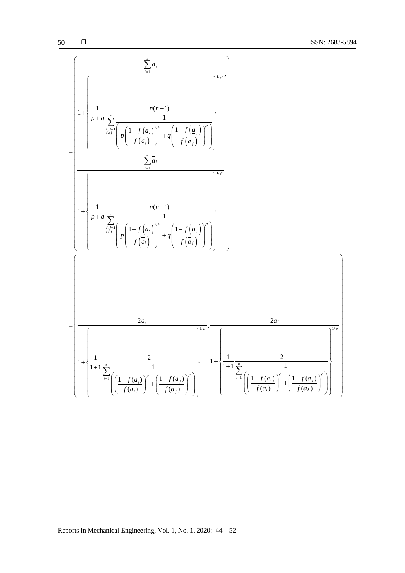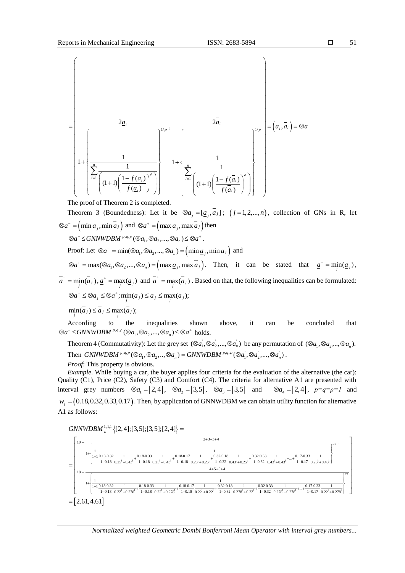51



The proof of Theorem 2 is completed.

Theorem 3 (Boundedness): Let it be  $\otimes a_j = [a_j, a_j]$ ;  $(j=1,2,...,n)$ , collection of GNs in R, let  $\otimes a^- = (\min \underline{a}_j, \min \overline{a}_j)$  and  $\otimes a^+ = (\max \underline{a}_j, \max \overline{a}_j)$  then<br>  $\otimes a^- \leq GNNWDBM^{p,q,p}(\otimes a_1, \otimes a_2, ..., \otimes a_n) \leq \otimes a^+$ .  $\epsilon$  CNNUDRM  $^{p,q,p}$  ( $\otimes$ 

$$
\otimes a \leq G/NNWDBM \qquad (\otimes a_1, \otimes a_2, ..., \otimes a_n) \leq \otimes a
$$

 $\otimes a \leq GNNWDBM$   $^{p,q,p}(\otimes a_1, \otimes a_2, ..., \otimes a_n) \leq \otimes a'$ .<br>Proof: Let  $\otimes a^- = \min(\otimes a_1, \otimes a_2, ..., \otimes a_n) = (\min \underline{a}_j, \min \overline{a}_j)$  and

Froot. Let  $\otimes a$  =  $\min(\otimes a_1, \otimes a_2, ..., \otimes a_n) = (\max a_j, \max a_j)$ . Then, it can be stated that  $\underline{a}^- = \min_j(\underline{a}_j)$ ,  $\otimes a^+ = \max(\otimes a_1, \otimes a_2, ..., \otimes a_n) = (\max \underline{a}_j, \max \overline{a}_j)$ . Then, it can be stated that  $\underline{a}^- = \min_j(\underline{a}_j)$ , *j*

 $\overline{a}$  = min( $\overline{a}$ *j*),  $\underline{a}$  + = max( $\underline{a}$ *j*) and  $\overline{a}$  + = max( $\overline{a}$ *j*). Based on that, the following inequalities can be formulated:  $\otimes a^- \leq \otimes a_j \leq \otimes a^+; \min_j(\underline{a}_j) \leq \underline{a}_j \leq \max_j(\underline{a}_j);$  $\min_i(\overline{a}_j) \leq \overline{a}_j \leq \max_i(\overline{a}_j);$ 

*j j*

According to the inequalities shown above, it can be concluded that According to the inequalities shown<br>  $\otimes a^- \leq GNNWDBM^{p,q,p}(\otimes a_1, \otimes a_2, ..., \otimes a_n) \leq \otimes a^+$  holds.

Theorem 4 (Commutativity): Let the grey set  $(\otimes a_1, \otimes a_2, ..., \otimes a_n)$  be any permutation of  $(\otimes a_1, \otimes a_2, ..., \otimes a_n)$ .<br>Then *GNNWDBM*<sup>p,q,p</sup>( $\otimes a_1, \otimes a_2, ..., \otimes a_n$ ) = *GNNWDBM*<sup>p,q,p</sup>( $\otimes a_1, \otimes a_2, ..., \otimes a_n$ ). Then GNNWDBM<sup>p,q,p</sup>( $\otimes a_1, \otimes a_2, ..., \otimes a_n$ ) = GNNWDBM<sup>p,q,p</sup>( $\otimes a_1, \otimes a_2, ..., \otimes a_n$ ).

*Proof*: This property is obvious.

*Example*. While buying a car, the buyer applies four criteria for the evaluation of the alternative (the car): Quality (C1), Price (C2), Safety (C3) and Comfort (C4). The criteria for alternative A1 are presented with interval grey numbers  $\otimes a_1 = [2, 4], \otimes a_2 = [3, 5], \otimes a_3 = [3, 5]$  and  $\otimes a_4 = [2, 4], \quad p = q = p = 1$  and  $w_j = (0.18, 0.32, 0.33, 0.17)$ . Then, by application of GNNWDBM we can obtain utility function for alternative A1 as follows:

 $GNNWDBM<sub>w</sub><sup>1,1,1</sup>$  {[2,4];[3,5];[3,5];[2,4]} =